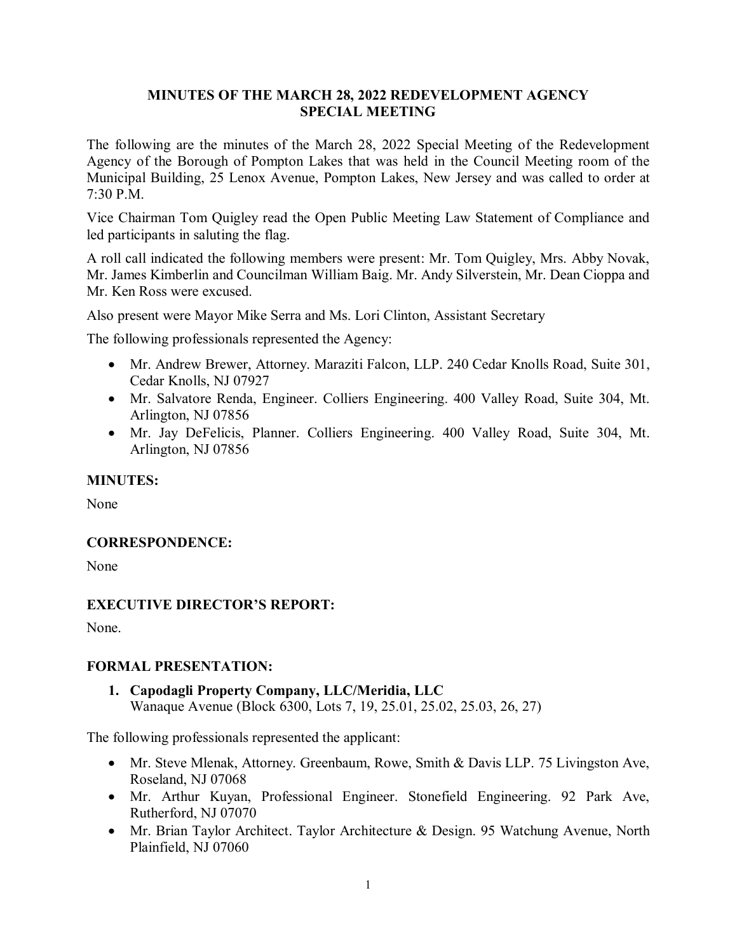## **MINUTES OF THE MARCH 28, 2022 REDEVELOPMENT AGENCY SPECIAL MEETING**

The following are the minutes of the March 28, 2022 Special Meeting of the Redevelopment Agency of the Borough of Pompton Lakes that was held in the Council Meeting room of the Municipal Building, 25 Lenox Avenue, Pompton Lakes, New Jersey and was called to order at 7:30 P.M.

Vice Chairman Tom Quigley read the Open Public Meeting Law Statement of Compliance and led participants in saluting the flag.

A roll call indicated the following members were present: Mr. Tom Quigley, Mrs. Abby Novak, Mr. James Kimberlin and Councilman William Baig. Mr. Andy Silverstein, Mr. Dean Cioppa and Mr. Ken Ross were excused.

Also present were Mayor Mike Serra and Ms. Lori Clinton, Assistant Secretary

The following professionals represented the Agency:

- Mr. Andrew Brewer, Attorney. Maraziti Falcon, LLP. 240 Cedar Knolls Road, Suite 301, Cedar Knolls, NJ 07927
- Mr. Salvatore Renda, Engineer. Colliers Engineering. 400 Valley Road, Suite 304, Mt. Arlington, NJ 07856
- Mr. Jay DeFelicis, Planner. Colliers Engineering. 400 Valley Road, Suite 304, Mt. Arlington, NJ 07856

### **MINUTES:**

None

# **CORRESPONDENCE:**

None

# **EXECUTIVE DIRECTOR'S REPORT:**

None.

# **FORMAL PRESENTATION:**

**1. Capodagli Property Company, LLC/Meridia, LLC** Wanaque Avenue (Block 6300, Lots 7, 19, 25.01, 25.02, 25.03, 26, 27)

The following professionals represented the applicant:

- Mr. Steve Mlenak, Attorney. Greenbaum, Rowe, Smith & Davis LLP. 75 Livingston Ave, Roseland, NJ 07068
- Mr. Arthur Kuyan, Professional Engineer. Stonefield Engineering. 92 Park Ave, Rutherford, NJ 07070
- Mr. Brian Taylor Architect. Taylor Architecture & Design. 95 Watchung Avenue, North Plainfield, NJ 07060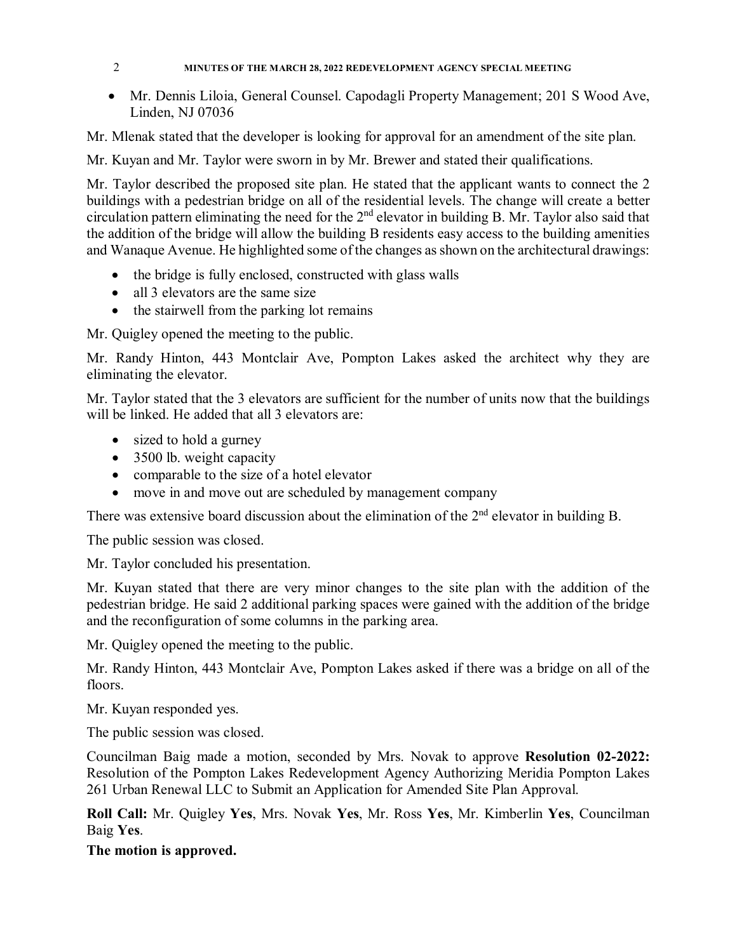#### 2 **MINUTES OF THE MARCH 28, 2022 REDEVELOPMENT AGENCY SPECIAL MEETING**

• Mr. Dennis Liloia, General Counsel. Capodagli Property Management; 201 S Wood Ave, Linden, NJ 07036

Mr. Mlenak stated that the developer is looking for approval for an amendment of the site plan.

Mr. Kuyan and Mr. Taylor were sworn in by Mr. Brewer and stated their qualifications.

Mr. Taylor described the proposed site plan. He stated that the applicant wants to connect the 2 buildings with a pedestrian bridge on all of the residential levels. The change will create a better circulation pattern eliminating the need for the 2nd elevator in building B. Mr. Taylor also said that the addition of the bridge will allow the building B residents easy access to the building amenities and Wanaque Avenue. He highlighted some of the changes as shown on the architectural drawings:

- the bridge is fully enclosed, constructed with glass walls
- all 3 elevators are the same size
- the stairwell from the parking lot remains

Mr. Quigley opened the meeting to the public.

Mr. Randy Hinton, 443 Montclair Ave, Pompton Lakes asked the architect why they are eliminating the elevator.

Mr. Taylor stated that the 3 elevators are sufficient for the number of units now that the buildings will be linked. He added that all 3 elevators are:

- sized to hold a gurney
- 3500 lb. weight capacity
- comparable to the size of a hotel elevator
- move in and move out are scheduled by management company

There was extensive board discussion about the elimination of the  $2<sup>nd</sup>$  elevator in building B.

The public session was closed.

Mr. Taylor concluded his presentation.

Mr. Kuyan stated that there are very minor changes to the site plan with the addition of the pedestrian bridge. He said 2 additional parking spaces were gained with the addition of the bridge and the reconfiguration of some columns in the parking area.

Mr. Quigley opened the meeting to the public.

Mr. Randy Hinton, 443 Montclair Ave, Pompton Lakes asked if there was a bridge on all of the floors.

Mr. Kuyan responded yes.

The public session was closed.

Councilman Baig made a motion, seconded by Mrs. Novak to approve **Resolution 02-2022:**  Resolution of the Pompton Lakes Redevelopment Agency Authorizing Meridia Pompton Lakes 261 Urban Renewal LLC to Submit an Application for Amended Site Plan Approval.

**Roll Call:** Mr. Quigley **Yes**, Mrs. Novak **Yes**, Mr. Ross **Yes**, Mr. Kimberlin **Yes**, Councilman Baig **Yes**.

**The motion is approved.**